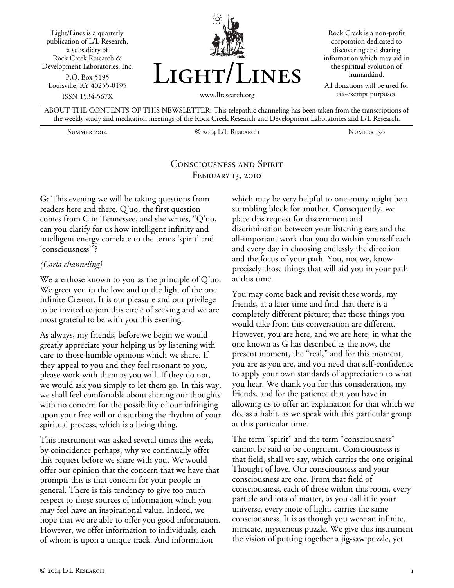Light/Lines is a quarterly publication of L/L Research, a subsidiary of Rock Creek Research & Development Laboratories, Inc. P.O. Box 5195 Louisville, KY 40255-0195 ISSN 1534-567X



Rock Creek is a non-profit corporation dedicated to discovering and sharing information which may aid in the spiritual evolution of humankind. All donations will be used for

www.llresearch.org

tax-exempt purposes.

ABOUT THE CONTENTS OF THIS NEWSLETTER: This telepathic channeling has been taken from the transcriptions of the weekly study and meditation meetings of the Rock Creek Research and Development Laboratories and L/L Research.

Summer 2014 © 2014 L/L Research Number 130

# Consciousness and Spirit FEBRUARY 13, 2010

**G:** This evening we will be taking questions from readers here and there. Q'uo, the first question comes from C in Tennessee, and she writes, "Q'uo, can you clarify for us how intelligent infinity and intelligent energy correlate to the terms 'spirit' and 'consciousness'"?

#### *(Carla channeling)*

We are those known to you as the principle of Q'uo. We greet you in the love and in the light of the one infinite Creator. It is our pleasure and our privilege to be invited to join this circle of seeking and we are most grateful to be with you this evening.

As always, my friends, before we begin we would greatly appreciate your helping us by listening with care to those humble opinions which we share. If they appeal to you and they feel resonant to you, please work with them as you will. If they do not, we would ask you simply to let them go. In this way, we shall feel comfortable about sharing our thoughts with no concern for the possibility of our infringing upon your free will or disturbing the rhythm of your spiritual process, which is a living thing.

This instrument was asked several times this week, by coincidence perhaps, why we continually offer this request before we share with you. We would offer our opinion that the concern that we have that prompts this is that concern for your people in general. There is this tendency to give too much respect to those sources of information which you may feel have an inspirational value. Indeed, we hope that we are able to offer you good information. However, we offer information to individuals, each of whom is upon a unique track. And information

which may be very helpful to one entity might be a stumbling block for another. Consequently, we place this request for discernment and discrimination between your listening ears and the all-important work that you do within yourself each and every day in choosing endlessly the direction and the focus of your path. You, not we, know precisely those things that will aid you in your path at this time.

You may come back and revisit these words, my friends, at a later time and find that there is a completely different picture; that those things you would take from this conversation are different. However, you are here, and we are here, in what the one known as G has described as the now, the present moment, the "real," and for this moment, you are as you are, and you need that self-confidence to apply your own standards of appreciation to what you hear. We thank you for this consideration, my friends, and for the patience that you have in allowing us to offer an explanation for that which we do, as a habit, as we speak with this particular group at this particular time.

The term "spirit" and the term "consciousness" cannot be said to be congruent. Consciousness is that field, shall we say, which carries the one original Thought of love. Our consciousness and your consciousness are one. From that field of consciousness, each of those within this room, every particle and iota of matter, as you call it in your universe, every mote of light, carries the same consciousness. It is as though you were an infinite, intricate, mysterious puzzle. We give this instrument the vision of putting together a jig-saw puzzle, yet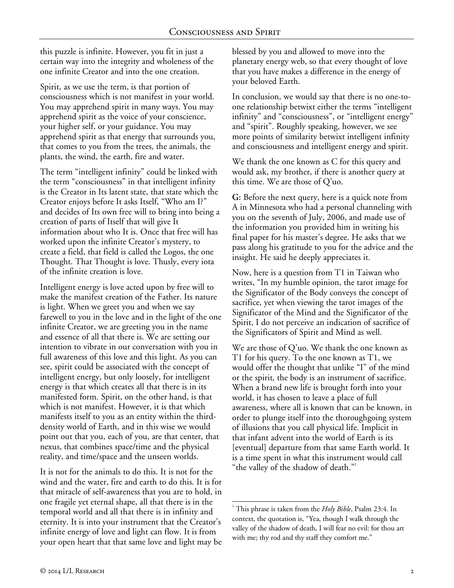this puzzle is infinite. However, you fit in just a certain way into the integrity and wholeness of the one infinite Creator and into the one creation.

Spirit, as we use the term, is that portion of consciousness which is not manifest in your world. You may apprehend spirit in many ways. You may apprehend spirit as the voice of your conscience, your higher self, or your guidance. You may apprehend spirit as that energy that surrounds you, that comes to you from the trees, the animals, the plants, the wind, the earth, fire and water.

The term "intelligent infinity" could be linked with the term "consciousness" in that intelligent infinity is the Creator in Its latent state, that state which the Creator enjoys before It asks Itself, "Who am I?" and decides of Its own free will to bring into being a creation of parts of Itself that will give It information about who It is. Once that free will has worked upon the infinite Creator's mystery, to create a field, that field is called the Logos, the one Thought. That Thought is love. Thusly, every iota of the infinite creation is love.

Intelligent energy is love acted upon by free will to make the manifest creation of the Father. Its nature is light. When we greet you and when we say farewell to you in the love and in the light of the one infinite Creator, we are greeting you in the name and essence of all that there is. We are setting our intention to vibrate in our conversation with you in full awareness of this love and this light. As you can see, spirit could be associated with the concept of intelligent energy, but only loosely, for intelligent energy is that which creates all that there is in its manifested form. Spirit, on the other hand, is that which is not manifest. However, it is that which manifests itself to you as an entity within the thirddensity world of Earth, and in this wise we would point out that you, each of you, are that center, that nexus, that combines space/time and the physical reality, and time/space and the unseen worlds.

It is not for the animals to do this. It is not for the wind and the water, fire and earth to do this. It is for that miracle of self-awareness that you are to hold, in one fragile yet eternal shape, all that there is in the temporal world and all that there is in infinity and eternity. It is into your instrument that the Creator's infinite energy of love and light can flow. It is from your open heart that that same love and light may be blessed by you and allowed to move into the planetary energy web, so that every thought of love that you have makes a difference in the energy of your beloved Earth.

In conclusion, we would say that there is no one-toone relationship betwixt either the terms "intelligent infinity" and "consciousness", or "intelligent energy" and "spirit". Roughly speaking, however, we see more points of similarity betwixt intelligent infinity and consciousness and intelligent energy and spirit.

We thank the one known as C for this query and would ask, my brother, if there is another query at this time. We are those of Q'uo.

**G:** Before the next query, here is a quick note from A in Minnesota who had a personal channeling with you on the seventh of July, 2006, and made use of the information you provided him in writing his final paper for his master's degree. He asks that we pass along his gratitude to you for the advice and the insight. He said he deeply appreciates it.

Now, here is a question from T1 in Taiwan who writes, "In my humble opinion, the tarot image for the Significator of the Body conveys the concept of sacrifice, yet when viewing the tarot images of the Significator of the Mind and the Significator of the Spirit, I do not perceive an indication of sacrifice of the Significators of Spirit and Mind as well.

We are those of Q'uo. We thank the one known as T1 for his query. To the one known as T1, we would offer the thought that unlike "I" of the mind or the spirit, the body is an instrument of sacrifice. When a brand new life is brought forth into your world, it has chosen to leave a place of full awareness, where all is known that can be known, in order to plunge itself into the thoroughgoing system of illusions that you call physical life. Implicit in that infant advent into the world of Earth is its [eventual] departure from that same Earth world. It is a time spent in what this instrument would call "the valley of the shadow of death."<sup>1</sup>

l 1 This phrase is taken from the *Holy Bible*, Psalm 23:4. In context, the quotation is, "Yea, though I walk through the valley of the shadow of death, I will fear no evil: for thou art with me; thy rod and thy staff they comfort me."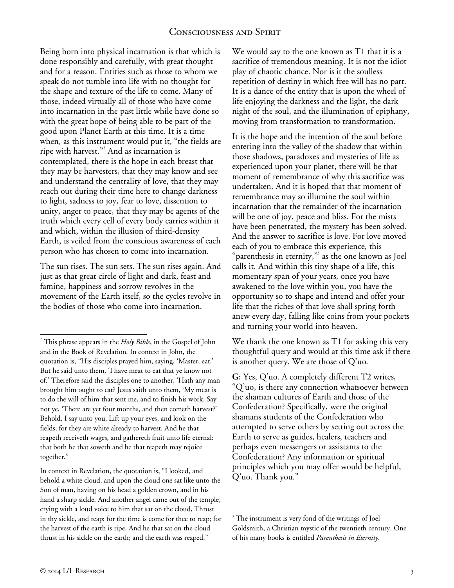Being born into physical incarnation is that which is done responsibly and carefully, with great thought and for a reason. Entities such as those to whom we speak do not tumble into life with no thought for the shape and texture of the life to come. Many of those, indeed virtually all of those who have come into incarnation in the past little while have done so with the great hope of being able to be part of the good upon Planet Earth at this time. It is a time when, as this instrument would put it, "the fields are ripe with harvest."<sup>2</sup> And as incarnation is contemplated, there is the hope in each breast that they may be harvesters, that they may know and see and understand the centrality of love, that they may reach out during their time here to change darkness to light, sadness to joy, fear to love, dissention to unity, anger to peace, that they may be agents of the truth which every cell of every body carries within it and which, within the illusion of third-density Earth, is veiled from the conscious awareness of each person who has chosen to come into incarnation.

The sun rises. The sun sets. The sun rises again. And just as that great circle of light and dark, feast and famine, happiness and sorrow revolves in the movement of the Earth itself, so the cycles revolve in the bodies of those who come into incarnation.

In context in Revelation, the quotation is, "I looked, and behold a white cloud, and upon the cloud one sat like unto the Son of man, having on his head a golden crown, and in his hand a sharp sickle. And another angel came out of the temple, crying with a loud voice to him that sat on the cloud, Thrust in thy sickle, and reap: for the time is come for thee to reap; for the harvest of the earth is ripe. And he that sat on the cloud thrust in his sickle on the earth; and the earth was reaped."

We would say to the one known as T1 that it is a sacrifice of tremendous meaning. It is not the idiot play of chaotic chance. Nor is it the soulless repetition of destiny in which free will has no part. It is a dance of the entity that is upon the wheel of life enjoying the darkness and the light, the dark night of the soul, and the illumination of epiphany, moving from transformation to transformation.

It is the hope and the intention of the soul before entering into the valley of the shadow that within those shadows, paradoxes and mysteries of life as experienced upon your planet, there will be that moment of remembrance of why this sacrifice was undertaken. And it is hoped that that moment of remembrance may so illumine the soul within incarnation that the remainder of the incarnation will be one of joy, peace and bliss. For the mists have been penetrated, the mystery has been solved. And the answer to sacrifice is love. For love moved each of you to embrace this experience, this "parenthesis in eternity,"<sup>3</sup> as the one known as Joel calls it. And within this tiny shape of a life, this momentary span of your years, once you have awakened to the love within you, you have the opportunity so to shape and intend and offer your life that the riches of that love shall spring forth anew every day, falling like coins from your pockets and turning your world into heaven.

We thank the one known as T1 for asking this very thoughtful query and would at this time ask if there is another query. We are those of Q'uo.

**G:** Yes, Q'uo. A completely different T2 writes, "Q'uo, is there any connection whatsoever between the shaman cultures of Earth and those of the Confederation? Specifically, were the original shamans students of the Confederation who attempted to serve others by setting out across the Earth to serve as guides, healers, teachers and perhaps even messengers or assistants to the Confederation? Any information or spiritual principles which you may offer would be helpful, Q'uo. Thank you."

l 2 This phrase appears in the *Holy Bible*, in the Gospel of John and in the Book of Revelation. In context in John, the quotation is, "His disciples prayed him, saying, 'Master, eat.' But he said unto them, 'I have meat to eat that ye know not of.' Therefore said the disciples one to another, 'Hath any man brought him ought to eat? Jesus saith unto them, 'My meat is to do the will of him that sent me, and to finish his work. Say not ye, 'There are yet four months, and then cometh harvest?' Behold, I say unto you, Lift up your eyes, and look on the fields; for they are white already to harvest. And he that reapeth receiveth wages, and gathereth fruit unto life eternal: that both he that soweth and he that reapeth may rejoice together."

l <sup>3</sup> The instrument is very fond of the writings of Joel Goldsmith, a Christian mystic of the twentieth century. One of his many books is entitled *Parenthesis in Eternity*.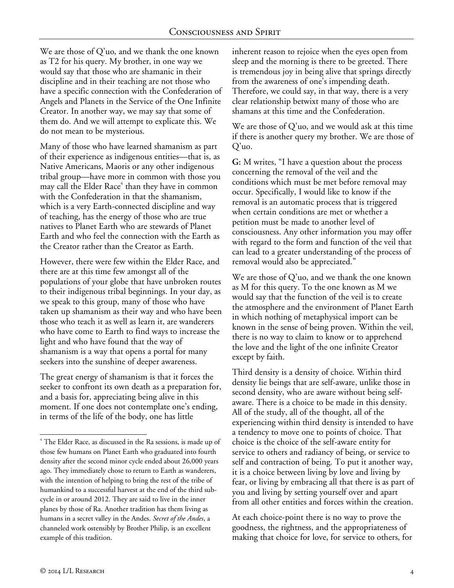We are those of Q'uo, and we thank the one known as T2 for his query. My brother, in one way we would say that those who are shamanic in their discipline and in their teaching are not those who have a specific connection with the Confederation of Angels and Planets in the Service of the One Infinite Creator. In another way, we may say that some of them do. And we will attempt to explicate this. We do not mean to be mysterious.

Many of those who have learned shamanism as part of their experience as indigenous entities—that is, as Native Americans, Maoris or any other indigenous tribal group—have more in common with those you may call the Elder Race<sup>4</sup> than they have in common with the Confederation in that the shamanism, which is a very Earth-connected discipline and way of teaching, has the energy of those who are true natives to Planet Earth who are stewards of Planet Earth and who feel the connection with the Earth as the Creator rather than the Creator as Earth.

However, there were few within the Elder Race, and there are at this time few amongst all of the populations of your globe that have unbroken routes to their indigenous tribal beginnings. In your day, as we speak to this group, many of those who have taken up shamanism as their way and who have been those who teach it as well as learn it, are wanderers who have come to Earth to find ways to increase the light and who have found that the way of shamanism is a way that opens a portal for many seekers into the sunshine of deeper awareness.

The great energy of shamanism is that it forces the seeker to confront its own death as a preparation for, and a basis for, appreciating being alive in this moment. If one does not contemplate one's ending, in terms of the life of the body, one has little

inherent reason to rejoice when the eyes open from sleep and the morning is there to be greeted. There is tremendous joy in being alive that springs directly from the awareness of one's impending death. Therefore, we could say, in that way, there is a very clear relationship betwixt many of those who are shamans at this time and the Confederation.

We are those of Q'uo, and we would ask at this time if there is another query my brother. We are those of Q'uo.

**G:** M writes, "I have a question about the process concerning the removal of the veil and the conditions which must be met before removal may occur. Specifically, I would like to know if the removal is an automatic process that is triggered when certain conditions are met or whether a petition must be made to another level of consciousness. Any other information you may offer with regard to the form and function of the veil that can lead to a greater understanding of the process of removal would also be appreciated."

We are those of Q'uo, and we thank the one known as M for this query. To the one known as M we would say that the function of the veil is to create the atmosphere and the environment of Planet Earth in which nothing of metaphysical import can be known in the sense of being proven. Within the veil, there is no way to claim to know or to apprehend the love and the light of the one infinite Creator except by faith.

Third density is a density of choice. Within third density lie beings that are self-aware, unlike those in second density, who are aware without being selfaware. There is a choice to be made in this density. All of the study, all of the thought, all of the experiencing within third density is intended to have a tendency to move one to points of choice. That choice is the choice of the self-aware entity for service to others and radiancy of being, or service to self and contraction of being. To put it another way, it is a choice between living by love and living by fear, or living by embracing all that there is as part of you and living by setting yourself over and apart from all other entities and forces within the creation.

At each choice-point there is no way to prove the goodness, the rightness, and the appropriateness of making that choice for love, for service to others, for

l

<sup>&</sup>lt;sup>4</sup> The Elder Race, as discussed in the Ra sessions, is made up of those few humans on Planet Earth who graduated into fourth density after the second minor cycle ended about 26,000 years ago. They immediately chose to return to Earth as wanderers, with the intention of helping to bring the rest of the tribe of humankind to a successful harvest at the end of the third subcycle in or around 2012. They are said to live in the inner planes by those of Ra. Another tradition has them living as humans in a secret valley in the Andes. *Secret of the Andes*, a channeled work ostensibly by Brother Philip, is an excellent example of this tradition.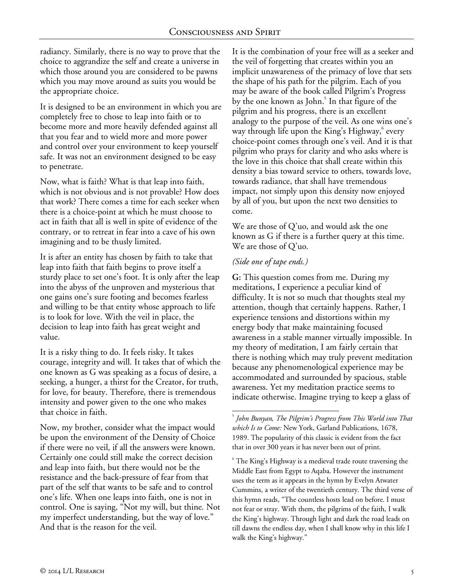radiancy. Similarly, there is no way to prove that the choice to aggrandize the self and create a universe in which those around you are considered to be pawns which you may move around as suits you would be the appropriate choice.

It is designed to be an environment in which you are completely free to chose to leap into faith or to become more and more heavily defended against all that you fear and to wield more and more power and control over your environment to keep yourself safe. It was not an environment designed to be easy to penetrate.

Now, what is faith? What is that leap into faith, which is not obvious and is not provable? How does that work? There comes a time for each seeker when there is a choice-point at which he must choose to act in faith that all is well in spite of evidence of the contrary, or to retreat in fear into a cave of his own imagining and to be thusly limited.

It is after an entity has chosen by faith to take that leap into faith that faith begins to prove itself a sturdy place to set one's foot. It is only after the leap into the abyss of the unproven and mysterious that one gains one's sure footing and becomes fearless and willing to be that entity whose approach to life is to look for love. With the veil in place, the decision to leap into faith has great weight and value.

It is a risky thing to do. It feels risky. It takes courage, integrity and will. It takes that of which the one known as G was speaking as a focus of desire, a seeking, a hunger, a thirst for the Creator, for truth, for love, for beauty. Therefore, there is tremendous intensity and power given to the one who makes that choice in faith.

Now, my brother, consider what the impact would be upon the environment of the Density of Choice if there were no veil, if all the answers were known. Certainly one could still make the correct decision and leap into faith, but there would not be the resistance and the back-pressure of fear from that part of the self that wants to be safe and to control one's life. When one leaps into faith, one is not in control. One is saying, "Not my will, but thine. Not my imperfect understanding, but the way of love." And that is the reason for the veil.

It is the combination of your free will as a seeker and the veil of forgetting that creates within you an implicit unawareness of the primacy of love that sets the shape of his path for the pilgrim. Each of you may be aware of the book called Pilgrim's Progress by the one known as John.<sup>5</sup> In that figure of the pilgrim and his progress, there is an excellent analogy to the purpose of the veil. As one wins one's way through life upon the King's Highway, every choice-point comes through one's veil. And it is that pilgrim who prays for clarity and who asks where is the love in this choice that shall create within this density a bias toward service to others, towards love, towards radiance, that shall have tremendous impact, not simply upon this density now enjoyed by all of you, but upon the next two densities to come.

We are those of Q'uo, and would ask the one known as G if there is a further query at this time. We are those of Q'uo.

### *(Side one of tape ends.)*

**G:** This question comes from me. During my meditations, I experience a peculiar kind of difficulty. It is not so much that thoughts steal my attention, though that certainly happens. Rather, I experience tensions and distortions within my energy body that make maintaining focused awareness in a stable manner virtually impossible. In my theory of meditation, I am fairly certain that there is nothing which may truly prevent meditation because any phenomenological experience may be accommodated and surrounded by spacious, stable awareness. Yet my meditation practice seems to indicate otherwise. Imagine trying to keep a glass of

l 5 *John Bunyan, The Pilgrim's Progress from This World into That which Is to Come:* New York, Garland Publications, 1678, 1989. The popularity of this classic is evident from the fact that in over 300 years it has never been out of print.

 $6$  The King's Highway is a medieval trade route traversing the Middle East from Egypt to Aqaba. However the instrument uses the term as it appears in the hymn by Evelyn Atwater Cummins, a writer of the twentieth century. The third verse of this hymn reads, "The countless hosts lead on before. I must not fear or stray. With them, the pilgrims of the faith, I walk the King's highway. Through light and dark the road leads on till dawns the endless day, when I shall know why in this life I walk the King's highway."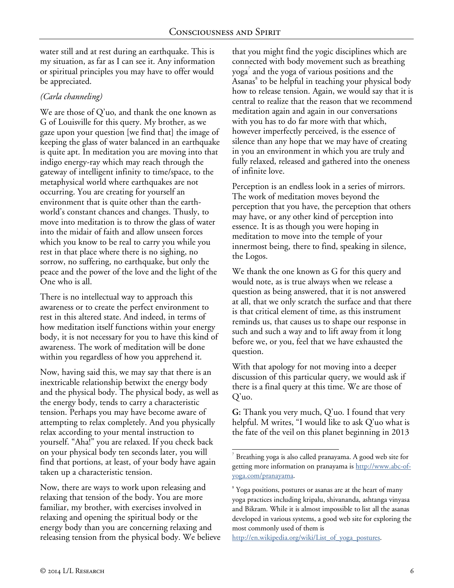l

water still and at rest during an earthquake. This is my situation, as far as I can see it. Any information or spiritual principles you may have to offer would be appreciated.

# *(Carla channeling)*

We are those of Q'uo, and thank the one known as G of Louisville for this query. My brother, as we gaze upon your question [we find that] the image of keeping the glass of water balanced in an earthquake is quite apt. In meditation you are moving into that indigo energy-ray which may reach through the gateway of intelligent infinity to time/space, to the metaphysical world where earthquakes are not occurring. You are creating for yourself an environment that is quite other than the earthworld's constant chances and changes. Thusly, to move into meditation is to throw the glass of water into the midair of faith and allow unseen forces which you know to be real to carry you while you rest in that place where there is no sighing, no sorrow, no suffering, no earthquake, but only the peace and the power of the love and the light of the One who is all.

There is no intellectual way to approach this awareness or to create the perfect environment to rest in this altered state. And indeed, in terms of how meditation itself functions within your energy body, it is not necessary for you to have this kind of awareness. The work of meditation will be done within you regardless of how you apprehend it.

Now, having said this, we may say that there is an inextricable relationship betwixt the energy body and the physical body. The physical body, as well as the energy body, tends to carry a characteristic tension. Perhaps you may have become aware of attempting to relax completely. And you physically relax according to your mental instruction to yourself. "Aha!" you are relaxed. If you check back on your physical body ten seconds later, you will find that portions, at least, of your body have again taken up a characteristic tension.

Now, there are ways to work upon releasing and relaxing that tension of the body. You are more familiar, my brother, with exercises involved in relaxing and opening the spiritual body or the energy body than you are concerning relaxing and releasing tension from the physical body. We believe that you might find the yogic disciplines which are connected with body movement such as breathing yoga $^7$  and the yoga of various positions and the Asanas 8 to be helpful in teaching your physical body how to release tension. Again, we would say that it is central to realize that the reason that we recommend meditation again and again in our conversations with you has to do far more with that which, however imperfectly perceived, is the essence of silence than any hope that we may have of creating in you an environment in which you are truly and fully relaxed, released and gathered into the oneness of infinite love.

Perception is an endless look in a series of mirrors. The work of meditation moves beyond the perception that you have, the perception that others may have, or any other kind of perception into essence. It is as though you were hoping in meditation to move into the temple of your innermost being, there to find, speaking in silence, the Logos.

We thank the one known as G for this query and would note, as is true always when we release a question as being answered, that it is not answered at all, that we only scratch the surface and that there is that critical element of time, as this instrument reminds us, that causes us to shape our response in such and such a way and to lift away from it long before we, or you, feel that we have exhausted the question.

With that apology for not moving into a deeper discussion of this particular query, we would ask if there is a final query at this time. We are those of Q'uo.

**G:** Thank you very much, Q'uo. I found that very helpful. M writes, "I would like to ask Q'uo what is the fate of the veil on this planet beginning in 2013

<sup>7</sup> Breathing yoga is also called pranayama. A good web site for getting more information on pranayama is http://www.abc-ofyoga.com/pranayama.

<sup>&</sup>lt;sup>8</sup> Yoga positions, postures or asanas are at the heart of many yoga practices including kripalu, shivananda, ashtanga vinyasa and Bikram. While it is almost impossible to list all the asanas developed in various systems, a good web site for exploring the most commonly used of them is

http://en.wikipedia.org/wiki/List\_of\_yoga\_postures.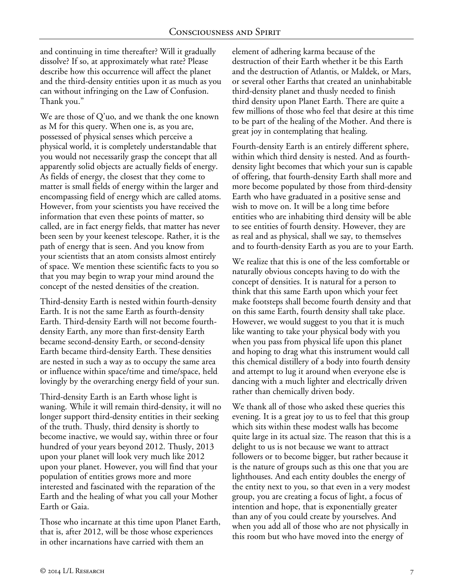and continuing in time thereafter? Will it gradually dissolve? If so, at approximately what rate? Please describe how this occurrence will affect the planet and the third-density entities upon it as much as you can without infringing on the Law of Confusion. Thank you."

We are those of Q'uo, and we thank the one known as M for this query. When one is, as you are, possessed of physical senses which perceive a physical world, it is completely understandable that you would not necessarily grasp the concept that all apparently solid objects are actually fields of energy. As fields of energy, the closest that they come to matter is small fields of energy within the larger and encompassing field of energy which are called atoms. However, from your scientists you have received the information that even these points of matter, so called, are in fact energy fields, that matter has never been seen by your keenest telescope. Rather, it is the path of energy that is seen. And you know from your scientists that an atom consists almost entirely of space. We mention these scientific facts to you so that you may begin to wrap your mind around the concept of the nested densities of the creation.

Third-density Earth is nested within fourth-density Earth. It is not the same Earth as fourth-density Earth. Third-density Earth will not become fourthdensity Earth, any more than first-density Earth became second-density Earth, or second-density Earth became third-density Earth. These densities are nested in such a way as to occupy the same area or influence within space/time and time/space, held lovingly by the overarching energy field of your sun.

Third-density Earth is an Earth whose light is waning. While it will remain third-density, it will no longer support third-density entities in their seeking of the truth. Thusly, third density is shortly to become inactive, we would say, within three or four hundred of your years beyond 2012. Thusly, 2013 upon your planet will look very much like 2012 upon your planet. However, you will find that your population of entities grows more and more interested and fascinated with the reparation of the Earth and the healing of what you call your Mother Earth or Gaia.

Those who incarnate at this time upon Planet Earth, that is, after 2012, will be those whose experiences in other incarnations have carried with them an

element of adhering karma because of the destruction of their Earth whether it be this Earth and the destruction of Atlantis, or Maldek, or Mars, or several other Earths that created an uninhabitable third-density planet and thusly needed to finish third density upon Planet Earth. There are quite a few millions of those who feel that desire at this time to be part of the healing of the Mother. And there is great joy in contemplating that healing.

Fourth-density Earth is an entirely different sphere, within which third density is nested. And as fourthdensity light becomes that which your sun is capable of offering, that fourth-density Earth shall more and more become populated by those from third-density Earth who have graduated in a positive sense and wish to move on. It will be a long time before entities who are inhabiting third density will be able to see entities of fourth density. However, they are as real and as physical, shall we say, to themselves and to fourth-density Earth as you are to your Earth.

We realize that this is one of the less comfortable or naturally obvious concepts having to do with the concept of densities. It is natural for a person to think that this same Earth upon which your feet make footsteps shall become fourth density and that on this same Earth, fourth density shall take place. However, we would suggest to you that it is much like wanting to take your physical body with you when you pass from physical life upon this planet and hoping to drag what this instrument would call this chemical distillery of a body into fourth density and attempt to lug it around when everyone else is dancing with a much lighter and electrically driven rather than chemically driven body.

We thank all of those who asked these queries this evening. It is a great joy to us to feel that this group which sits within these modest walls has become quite large in its actual size. The reason that this is a delight to us is not because we want to attract followers or to become bigger, but rather because it is the nature of groups such as this one that you are lighthouses. And each entity doubles the energy of the entity next to you, so that even in a very modest group, you are creating a focus of light, a focus of intention and hope, that is exponentially greater than any of you could create by yourselves. And when you add all of those who are not physically in this room but who have moved into the energy of